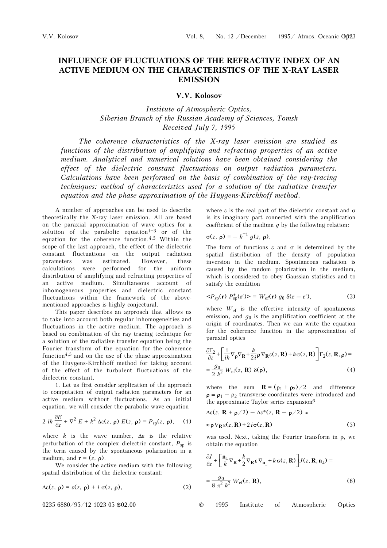## **INFLUENCE OF FLUCTUATIONS OF THE REFRACTIVE INDEX OF AN ACTIVE MEDIUM ON THE CHARACTERISTICS OF THE X-RAY LASER EMISSION**

**V.V. Kolosov** 

*Institute of Atmospheric Optics, Siberian Branch of the Russian Academy of Sciences, Tomsk Received July 7, 1995* 

*The coherence characteristics of the X-ray laser emission are studied as functions of the distribution of amplifying and refracting properties of an active medium. Analytical and numerical solutions have been obtained considering the effect of the dielectric constant fluctuations on output radiation parameters. Calculations have been performed on the basis of combination of the ray-tracing techniques: method of characteristics used for a solution of the radiative transfer equation and the phase approximation of the Huygens-Kirchhoff method.* 

A number of approaches can be used to describe theoretically the X-ray laser emission. All are based on the paraxial approximation of wave optics for a solution of the parabolic equation<sup>1-3</sup> or of the equation for the coherence function.4,5 Within the scope of the last approach, the effect of the dielectric constant fluctuations on the output radiation parameters was estimated. However, these calculations were performed for the uniform distribution of amplifying and refracting properties of an active medium. Simultaneous account of inhomogeneous properties and dielectric constant fluctuations within the framework of the abovementioned approaches is highly conjectural.

This paper describes an approach that allows us to take into account both regular inhomogeneities and fluctuations in the active medium. The approach is based on combination of the ray tracing technique for a solution of the radiative transfer equation being the Fourier transform of the equation for the coherence function<sup>4,5</sup> and on the use of the phase approximation of the Huygens-Kirchhoff method for taking account of the effect of the turbulent fluctuations of the dielectric constant.

1. Let us first consider application of the approach to computation of output radiation parameters for an active medium without fluctuations. As an initial equation, we will consider the parabolic wave equation

$$
2 i k \frac{\partial E}{\partial z} + \nabla_{\perp}^2 E + k^2 \Delta \varepsilon(z, \, \mathbf{p}) \, E(z, \, \mathbf{p}) = P_{\rm sp}(z, \, \mathbf{p}), \quad (1)
$$

where  $k$  is the wave number,  $\Delta \varepsilon$  is the relative perturbation of the complex dielectric constant,  $P_{\rm sn}$  is the term caused by the spontaneous polarization in a medium, and  $\mathbf{r} = (z, \mathbf{p})$ .

We consider the active medium with the following spatial distribution of the dielectric constant:

$$
\Delta \varepsilon(z, \, \rho) = \varepsilon(z, \, \rho) + i \, \sigma(z, \, \rho), \tag{2}
$$

 $0235-6880/95/12$  1023-05 \$02.00 ©

where ε is the real part of the dielectric constant and  $σ$ is its imaginary part connected with the amplification coefficient of the medium *g* by the following relation:

$$
\sigma(z, \mathbf{p}) = -k^{-1} g(z, \mathbf{p}).
$$

The form of functions  $\varepsilon$  and  $\sigma$  is determined by the spatial distribution of the density of population inversion in the medium. Spontaneous radiation is caused by the random polarization in the medium, which is considered to obey Gaussian statistics and to satisfy the condition

$$
\langle P_{\rm sp}(\mathbf{r}) \, P_{\rm sp}^*(\mathbf{r}') \rangle = W_{\rm ef}(\mathbf{r}) \, g_0 \, \delta(\mathbf{r} - \mathbf{r}'), \tag{3}
$$

where *W*ef is the effective intensity of spontaneous emission, and  $g_0$  is the amplification coefficient at the origin of coordinates. Then we can write the equation for the coherence function in the approximation of paraxial optics

$$
\frac{\partial \Gamma_2}{\partial z} + \left[ \frac{1}{ik} \nabla_{\mathbf{\rho}} \nabla_{\mathbf{R}} + \frac{k}{2i} \mathbf{\rho} \nabla_{\mathbf{R}} \varepsilon(z, \mathbf{R}) + k \sigma(z, \mathbf{R}) \right] \Gamma_2(z, \mathbf{R}, \mathbf{\rho}) =
$$
  
= 
$$
\frac{g_0}{2 k^2} W_{\text{ef}}(z, \mathbf{R}) \delta(\mathbf{\rho}),
$$
 (4)

where the sum  $\mathbf{R} = (\rho_1 + \rho_2)/2$  and difference  $\rho = \rho_1 - \rho_2$  transverse coordinates were introduced and the approximate Taylor series expansion6

$$
\Delta \varepsilon(z, \mathbf{R} + \mathbf{p}/2) - \Delta \varepsilon^*(z, \mathbf{R} - \mathbf{p}/2) \approx
$$
  
 
$$
\approx \mathbf{p} \nabla_{\mathbf{R}} \varepsilon(z, \mathbf{R}) + 2i \sigma(z, \mathbf{R})
$$
 (5)

was used. Next, taking the Fourier transform in  $\rho$ , we obtain the equation

$$
\frac{\partial J}{\partial z} + \left[ \frac{\mathbf{n}_{\perp}}{k} \nabla_{\mathbf{R}} + \frac{k}{2} \nabla_{\mathbf{R}} \varepsilon \nabla_{\mathbf{n}_{\perp}} + k \sigma(z, \mathbf{R}) \right] J(z, \mathbf{R}, \mathbf{n}_{\perp}) =
$$
  

$$
= \frac{g_0}{8 \pi^2 k^2} W_{\text{ef}}(z, \mathbf{R}),
$$
 (6)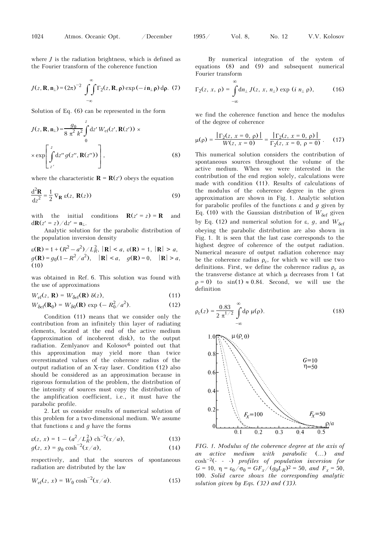where *J* is the radiation brightness, which is defined as the Fourier transform of the coherence function

$$
J(z, \mathbf{R}, \mathbf{n}_{\perp}) = (2\pi)^{-2} \int_{-\infty}^{\infty} \Gamma_2(z, \mathbf{R}, \mathbf{p}) \exp(-i\mathbf{n}_{\perp}\mathbf{p}) d\mathbf{p}.
$$
 (7)

Solution of Eq. (6) can be represented in the form

$$
J(z, \mathbf{R}, \mathbf{n}_{\perp}) = \frac{g_0}{8 \pi^2 k^2} \int_{0}^{z} dz' W_{\text{ef}}(z', \mathbf{R}(z')) \times
$$
  
 
$$
\times \exp \left[ \int_{z'}^{z} dz'' g(z'', \mathbf{R}(z'')) \right],
$$
 (8)

where the characteristic  $\mathbf{R} = \mathbf{R}(z)$  obeys the equation

$$
\frac{\mathrm{d}^2 \mathbf{R}}{\mathrm{d}z^2} = \frac{1}{2} \nabla_{\mathbf{R}} \varepsilon(z, \mathbf{R}(z))
$$
 (9)

with the initial conditions  $\mathbf{R}(z' = z) = \mathbf{R}$  and  $d**R**(z' = z) / dz' = **n**<sub>⊥</sub>.$ 

Analytic solution for the parabolic distribution of the population inversion density

 $\epsilon(\mathbf{R}) = 1 + (R^2 - a^2) / L_R^2$ ,  $|\mathbf{R}| < a$ ,  $\epsilon(\mathbf{R}) = 1$ ,  $|\mathbf{R}| > a$ ,  $g(\mathbf{R}) = g_0(1 - R^2/a^2), \quad |\mathbf{R}| < a, \quad g(\mathbf{R}) = 0, \quad |\mathbf{R}| > a,$  $(10)$ 

was obtained in Ref. 6. This solution was found with the use of approximations

$$
W_{\rm ef}(z,\,\mathbf{R}) = W_{\rm \delta ef}(\mathbf{R}) \,\,\delta(z),\tag{11}
$$

$$
W_{\delta e f}(\mathbf{R}_0) = W_{\delta 0}(\mathbf{R}) \exp(-R_0^2/a^2). \tag{12}
$$

Condition (11) means that we consider only the contribution from an infinitely thin layer of radiating elements, located at the end of the active medium (approximation of incoherent disk), to the output radiation. Zemlyanov and Kolosov<sup>6</sup> pointed out that this approximation may yield more than twice overestimated values of the coherence radius of the output radiation of an X-ray laser. Condition (12) also should be considered as an approximation because in rigorous formulation of the problem, the distribution of the intensity of sources must copy the distribution of the amplification coefficient, i.e., it must have the parabolic profile.

2. Let us consider results of numerical solution of this problem for a two-dimensional medium. We assume that functions ε and *g* have the forms

$$
\varepsilon(z, x) = 1 - (a^2/L_R^2) \, \text{ch}^{-2}(x/a), \tag{13}
$$

$$
g(z, x) = g_0 \cosh^{-2}(x/a),
$$
 (14)

respectively, and that the sources of spontaneous radiation are distributed by the law

$$
W_{\rm ef}(z, x) = W_0 \cosh^{-2}(x/a). \tag{15}
$$

By numerical integration of the system of equations (8) and (9) and subsequent numerical Fourier transform

$$
\Gamma_2(z, x, \rho) = \int_{-\infty}^{\infty} d n_{\perp} J(z, x, n_{\perp}) \exp(i n_{\perp} \rho), \qquad (16)
$$

we find the coherence function and hence the modulus of the degree of coherence

$$
\mu(\rho) = \frac{\left|\Gamma_2(z, x=0, \rho)\right|}{W(z, x=0)} = \frac{\left|\Gamma_2(z, x=0, \rho)\right|}{\Gamma_2(z, x=0, \rho=0)}.
$$
 (17)

This numerical solution considers the contribution of spontaneous sources throughout the volume of the active medium. When we were interested in the contribution of the end region solely, calculations were made with condition (11). Results of calculations of the modulus of the coherence degree in the given approximation are shown in Fig. 1. Analytic solution for parabolic profiles of the functions ε and *g* given by Eq. (10) with the Gaussian distribution of  $W_{\text{Sef}}$  given by Eq. (12) and numerical solution for ε, g, and  $W_{\delta \epsilon}$ obeying the parabolic distribution are also shown in Fig. 1. It is seen that the last case corresponds to the highest degree of coherence of the output radiation. Numerical measure of output radiation coherence may be the coherence radius  $\rho_c$ , for which we will use two definitions. First, we define the coherence radius  $\rho_c$  as the transverse distance at which  $\mu$  decreases from 1 (at  $\rho = 0$ ) to sin(1)  $\approx 0.84$ . Second, we will use the definition

$$
\rho_c(z) = \frac{0.83 \text{ m}}{2 \pi^{1/2}} \int_{-\infty}^{\infty} d\rho \ \mu(\rho). \tag{18}
$$
\n
$$
0.8 \begin{bmatrix}\n\mu(\rho, 0) & G=10 \\
0.6 & \text{m=50}\n\end{bmatrix}
$$
\n
$$
0.4 \begin{bmatrix}\n\mu(\rho, 0) & G=10 \\
\eta = 50 & \text{m=50}\n\end{bmatrix}
$$
\n
$$
0.2 \begin{bmatrix}\nF_x = 100 & F_x = 50 \\
0.1 & 0.2 & 0.3 & 0.4 & 0.5\n\end{bmatrix}
$$
\n
$$
0.5 \begin{bmatrix}\nF_x = 50 & \text{m=50}\n\end{bmatrix}
$$

*FIG. 1. Modulus of the coherence degree at the axis of an active medium with parabolic* (...) *and*  cosh–2(- - -) *profiles of population inversion for G* = 10,  $η = ε_0 / σ_0 = GF_x / (g_0 L_R)^2 = 50$ , *and*  $F_x = 50$ , 100. *Solid curve shows the corresponding analytic solution given by Eqs. (32) and (33).*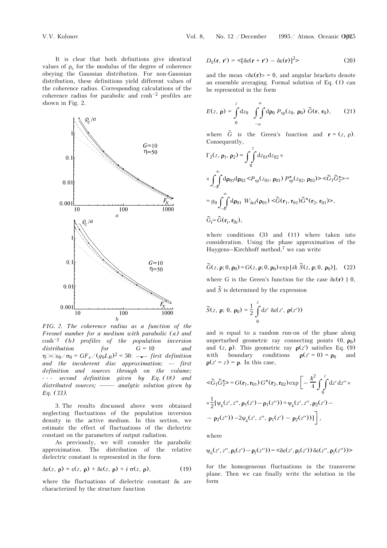V.V. Kolosov Vol. 8, No. 12 /December 1995/ Atmos. Oceanic Opt. 1025

It is clear that both definitions give identical values of  $\rho_c$  for the modulus of the degree of coherence obeying the Gaussian distribution. For non-Gaussian distribution, these definitions yield different values of the coherence radius. Corresponding calculations of the coherence radius for parabolic and cosh–2 profiles are shown in Fig. 2.



*FIG. 2. The coherence radius as a function of the Fresnel number for a medium with parabolic (a) and*  cosh–<sup>2</sup> *(b) profiles of the population inversion distribution for G* = 10 *and*   $\eta = \log_0 / \sigma_0 = GF_x / (g_0 L_R)^2 = 50$ :  $\rightarrow$  *first definition and the incoherent disc approximation;* ⋅⋅⋅⋅ *first definition and sources through on the volume;* - - - *second definition given by Eq. (18) and distributed sources;* -------*- analytic solution given by Eq. (33).* 

3. The results discussed above were obtained neglecting fluctuations of the population inversion density in the active medium. In this section, we estimate the effect of fluctuations of the dielectric constant on the parameters of output radiation.

As previously, we will consider the parabolic approximation. The distribution of the relative dielectric constant is represented in the form

$$
\Delta \varepsilon(z, \, \rho) = \varepsilon(z, \, \rho) + \delta \varepsilon(z, \, \rho) + i \, \sigma(z, \, \rho), \tag{19}
$$

where the fluctuations of dielectric constant δε are characterized by the structure function

$$
D_{\varepsilon}(\mathbf{r}, \mathbf{r}') = \langle [\delta \varepsilon(\mathbf{r} + \mathbf{r}') - \delta \varepsilon(\mathbf{r})]^2 \rangle \tag{20}
$$

and the mean  $\langle \delta \varepsilon(\mathbf{r}) \rangle = 0$ , and angular brackets denote an ensemble averaging. Formal solution of Eq. (1) can be represented in the form

$$
E(z, \mathbf{p}) = \int_{0}^{z} dz_0 \int_{-\infty}^{\infty} d\mathbf{p}_0 P_{\rm sp}(z_0, \mathbf{p}_0) \widetilde{G}(\mathbf{r}, \mathbf{r}_0), \qquad (21)
$$

where  $\tilde{G}$  is the Green's function and  $\mathbf{r} = (z, \rho)$ . Consequently,

$$
\Gamma_2(z, \mathbf{p}_1, \mathbf{p}_2) = \int_0^z dz_{01} dz_{02} \times
$$
  
\n
$$
\times \int_{-\infty}^{\infty} d\mathbf{p}_{01} d\mathbf{p}_{02} < P_{sp}(z_{01}, \mathbf{p}_{01}) P_{sp}^*(z_{02}, \mathbf{p}_{02}) > \tilde{G}_1 \tilde{G}_2^* > =
$$
  
\n
$$
= g_0 \int_{-\infty}^{\infty} d\mathbf{p}_{01} W_{\delta e f}(\mathbf{p}_{01}) < \tilde{G}(\mathbf{r}_1, \mathbf{r}_{01}) \tilde{G}^*(\mathbf{r}_2, \mathbf{r}_{01}) > ,
$$
  
\n
$$
\tilde{G}_i = \tilde{G}(\mathbf{r}_i, \mathbf{r}_{0i}),
$$

where conditions (3) and (11) where taken into consideration. Using the phase approximation of the Huygens–Kirchhoff method,7 we can write

$$
\widetilde{G}(z, \mathbf{p}; 0, \mathbf{p}_0) = G(z, \mathbf{p}; 0, \mathbf{p}_0) \exp[i k \widetilde{S}(z, \mathbf{p}; 0, \mathbf{p}_0)], \quad (22)
$$

where *G* is the Green's function for the case  $\delta \varepsilon(\mathbf{r})$   $\}$  0, and  $\tilde{S}$  is determined by the expression

$$
\widetilde{S}(z, \mathbf{p}; 0, \mathbf{p}_0) = \frac{1}{2} \int_{0}^{z} dz' \, \delta \varepsilon(z', \mathbf{p}(z'))
$$

and is equal to a random run-on of the phase along unperturbed geometric ray connecting points  $(0, \rho_0)$ and  $(z, \rho)$ . This geometric ray  $\rho(z')$  satisfies Eq. (9) with boundary conditions  $\rho(z' = 0) = \rho_0$  and  $\rho(z^r = z) = \rho$ . In this case,

$$
<\widetilde{G}_1 \widetilde{G}_2^*>=G(\mathbf{r}_1, \mathbf{r}_{01}) G^*(\mathbf{r}_2, \mathbf{r}_{02}) \exp \left[-\frac{k^2}{4} \int_0^z dz' dz'' \times \frac{1}{2} [\psi_{\varepsilon}(z', z'', \rho_1(z') - \rho_1(z'')) + \psi_{\varepsilon}(z', z'', \rho_2(z') - \rho_2(z'')) - 2\psi_{\varepsilon}(z', z'', \rho_1(z') - \rho_2(z''))] \right],
$$

where

$$
\psi_{\epsilon}(z',z'',\rho_i(z')-\rho_j(z''))\!=\!<\!\!\delta\epsilon(z',\rho_i(z'))\,\delta\epsilon(z'',\rho_j(z''))\!>
$$

for the homogeneous fluctuations in the transverse plane. Then we can finally write the solution in the form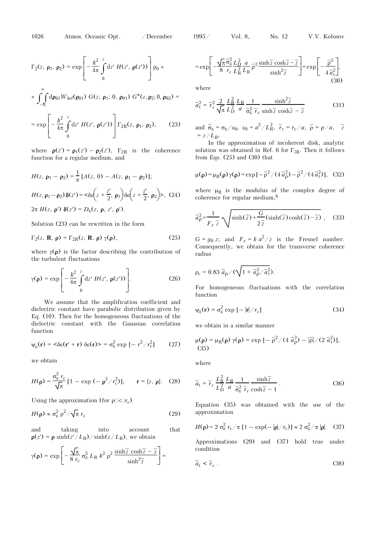1026 Atmos. Oceanic Opt. /December 1995/ Vol. 8, No. 12 V.V. Kolosov

$$
\Gamma_2(z, \, \mathbf{p}_1, \, \mathbf{p}_2) = \exp\left[-\frac{k^2}{4\pi} \int\limits_0^z dz' \, H(z', \, \mathbf{p}(z'))\right] g_0 \times
$$

$$
\times\,\int_{-\infty}^{\bf}{\rm d}{\pmb\rho}_{01}W_{\delta e f}({\pmb\rho}_{01})\,\,G(z,\,{\pmb\rho}_1;\,0,\,{\pmb\rho}_{01})\,\,G^*(z,{\pmb\rho}_2;0,{\pmb\rho}_{02})=
$$

$$
= \exp \left[ -\frac{k^2}{4\pi} \int\limits_0^z dz' \, H(z', \, \mathbf{p}(z')) \right] \Gamma_{2R}(z, \, \mathbf{p}_1; \, \mathbf{p}_2), \qquad (23)
$$

where  $\rho(z') = \rho_1(z') - \rho_2(z')$ ,  $\Gamma_{2R}$  is the coherence function for a regular medium, and

$$
H(z, \mathbf{p}_1 - \mathbf{p}_2) = \frac{1}{\pi} [A(z, 0) - A(z, \mathbf{p}_1 - \mathbf{p}_2)];
$$
  
\n
$$
H(z, \mathbf{p}_1 - \mathbf{p}_2) \delta(z') = \langle \delta \varepsilon \left( z + \frac{z'}{2}, \mathbf{p}_1 \right) \delta \varepsilon \left( z + \frac{z'}{2}, \mathbf{p}_2 \right) > , (24)
$$
  
\n
$$
2\pi H(z, \mathbf{p}') \delta(z') = D_{\varepsilon}(z, \mathbf{p}, z', \mathbf{p}').
$$

Solution (23) can be rewritten in the form

$$
\Gamma_2(z, \mathbf{R}, \mathbf{\rho}) = \Gamma_{2R}(z, \mathbf{R}, \mathbf{\rho}) \gamma(\mathbf{\rho}), \qquad (25)
$$

where  $\gamma(\rho)$  is the factor describing the contribution of the turbulent fluctuations

$$
\gamma(\mathbf{p}) = \exp\left[-\frac{k^2}{4\pi} \int\limits_0^z dz' H(z', \mathbf{p}(z'))\right].
$$
 (26)

We assume that the amplification coefficient and dielectric constant have parabolic distribution given by Eq. (10). Then for the homogeneous fluctuations of the dielectric constant with the Gaussian correlation function

$$
\psi_{\varepsilon}(\mathbf{r}) = \langle \delta \varepsilon(\mathbf{r}' + \mathbf{r}) \, \delta \varepsilon(\mathbf{r}) \rangle = \sigma_{\varepsilon}^2 \exp \left[ -\frac{r^2}{r_c^2} \right] \tag{27}
$$

we obtain

$$
H(\mathbf{p}) = \frac{\sigma_{\mathcal{E}}^2 r_{\mathcal{C}}}{\sqrt{\pi}} \left[ 1 - \exp \left( -\frac{\mathbf{p}^2}{r_{\mathcal{C}}^2} \right) \right], \qquad \mathbf{r} = \{z, \mathbf{p}\}. \tag{28}
$$

Using the approximation (for  $\rho \Box \langle \Box r_c \rangle$ )

$$
H(\rho) \approx \sigma_{\varepsilon}^2 \rho^2 / \sqrt{\pi} \, r_{\text{c}} \tag{29}
$$

and taking into account that  $\rho(z') = \rho \sinh(z'/L_R)/\sinh(z/L_R)$ , we obtain

$$
\gamma(\rho) = \exp\left[-\frac{\sqrt{\pi}}{8 r_{\rm c}} \sigma_{\epsilon}^2 L_{\rm R} k^2 \rho^2 \frac{\sinh \overline{z} \cosh \overline{z} - \overline{z}}{\sinh^2 \overline{z}}\right] =
$$

$$
= \exp\left[-\frac{\sqrt{\pi}}{8} \frac{\overline{\sigma}_{\varepsilon}^{2}}{r_{\varepsilon}} \frac{L_{\text{D}}^{2}}{L_{\text{R}}^{2}} \frac{a}{L_{\text{R}}} \overline{\rho}^{2} \frac{\sinh\overline{z}}{\sinh^{2}\overline{z}} \frac{\cosh\overline{z} - \overline{z}}{\sinh^{2}\overline{z}}\right] = \exp\left[-\frac{\overline{\rho}^{2}}{4} \overline{a}_{\text{t}}^{2}\right],\tag{30}
$$

where

$$
\overline{a}_{\rm t}^2 = \overline{r}_{\rm c}^2 \frac{2}{\sqrt{\pi}} \frac{L_{\rm R}^2}{L_{\rm D}^2} \frac{L_{\rm R}}{a} \frac{1}{\overline{\sigma}_{\rm \epsilon}^2} \frac{\sinh^2 \overline{z}}{\overline{r}_{\rm c} \sinh \overline{z} \cosh \overline{z} - \overline{z}}
$$
(31)

and 
$$
\overline{\sigma}_{\varepsilon} = \sigma_{\varepsilon}/\varepsilon_0
$$
,  $\varepsilon_0 = a^2/L_R^2$ ,  $\overline{r}_c = r_c/a$ ,  $\overline{\rho} = \rho/a$ ,  $\overline{z}$   
=  $z/L_R$ .

In the approximation of incoherent disk, analytic solution was obtained in Ref. 6 for  $\Gamma_{2R}$ . Then it follows from Eqs. (25) and (30) that

$$
\mu(\rho) = \mu_R(\rho) \gamma(\rho) = \exp\left[-\frac{\rho^2}{4a\rho^2}\right) - \frac{\rho^2}{4a^2}\right) (4\bar{a}_t^2)], \quad (32)
$$

where  $\mu_R$  is the modulus of the complex degree of coherence for regular medium,6

$$
\overline{a}_{\rho}^{2} = \frac{1}{F_{x}\overline{z}}\sqrt{\sinh(\overline{z}) + \frac{G}{2\overline{z}}(\sinh(\overline{z})\cosh(\overline{z}) - \overline{z})},
$$
 (33)

 $G = g_0 z$ ; and  $F_x = k a^2 / z$  is the Fresnel number. Consequently, we obtain for the transverse coherence radius

$$
\rho_c = 0.83 \overline{a}_{\rho} / (\sqrt{1 + \overline{a}_{\rho}^2 / \overline{a}_t^2}).
$$

For homogeneous fluctuations with the correlation function

$$
\psi_{\varepsilon}(\mathbf{r}) = \sigma_{\varepsilon}^2 \exp\left[-|\mathbf{r}|/r_{\mathrm{c}}\right] \tag{34}
$$

we obtain in a similar manner

$$
\mu(\rho) = \mu_R(\rho) \gamma(\rho) = \exp\left[-\frac{\overline{\rho}^2}{4} \cdot \frac{\overline{a}_\rho^2}{4} - \frac{\overline{\rho}}{\overline{\rho}}\right] / (2 \overline{a}_t^2)],
$$
\n(35)

where

$$
\overline{a}_{\rm t} = \overline{r}_{\rm c} \frac{L_{\rm R}^2}{L_{\rm D}^2} \frac{L_{\rm R}}{a} \frac{1}{\overline{\sigma}_{\rm \varepsilon}^2 \overline{r}_{\rm c}} \frac{\sinh\overline{z}}{\cosh\overline{z} - 1} \,. \tag{36}
$$

Equation (35) was obtained with the use of the approximation

$$
H(\mathbf{p}) = 2 \sigma_{\varepsilon}^2 r_{\varepsilon} / \pi \left[ 1 - \exp(-|\mathbf{p}|/r_{\varepsilon}) \right] \approx 2 \sigma_{\varepsilon}^2 / \pi |\mathbf{p}|. \quad (37)
$$

Approximations (29) and (37) hold true under condition

$$
\overline{a}_t < \overline{r}_c \tag{38}
$$